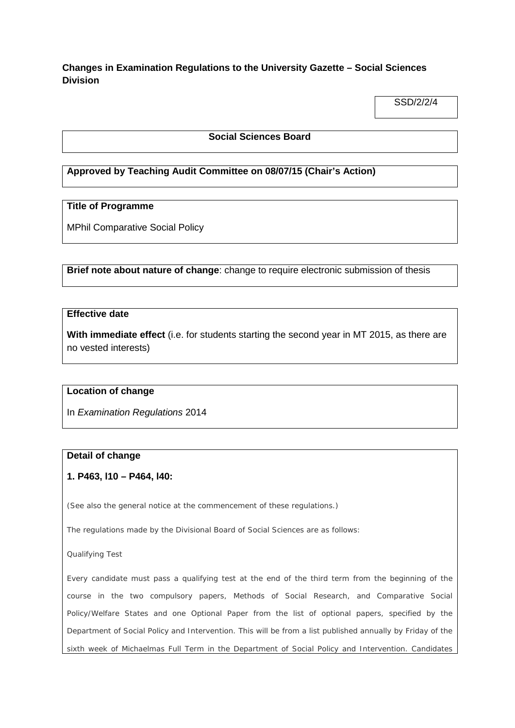# **Changes in Examination Regulations to the University Gazette – Social Sciences Division**

SSD/2/2/4

## **Social Sciences Board**

# **Approved by Teaching Audit Committee on 08/07/15 (Chair's Action)**

# **Title of Programme**

MPhil Comparative Social Policy

**Brief note about nature of change**: change to require electronic submission of thesis

## **Effective date**

**With immediate effect** (i.e. for students starting the second year in MT 2015, as there are no vested interests)

## **Location of change**

In *Examination Regulations* 2014

## **Detail of change**

**1. P463, l10 – P464, l40:**

(*See also the general notice at the commencement of these regulations*.)

The regulations made by the Divisional Board of Social Sciences are as follows:

*Qualifying Test*

Every candidate must pass a qualifying test at the end of the third term from the beginning of the course in the *two* compulsory papers, *Methods of Social Research*, and *Comparative Social Policy/Welfare States* and *one Optional Paper* from the list of optional papers, specified by the Department of Social Policy and Intervention. This will be from a list published annually by Friday of the sixth week of Michaelmas Full Term in the Department of Social Policy and Intervention. Candidates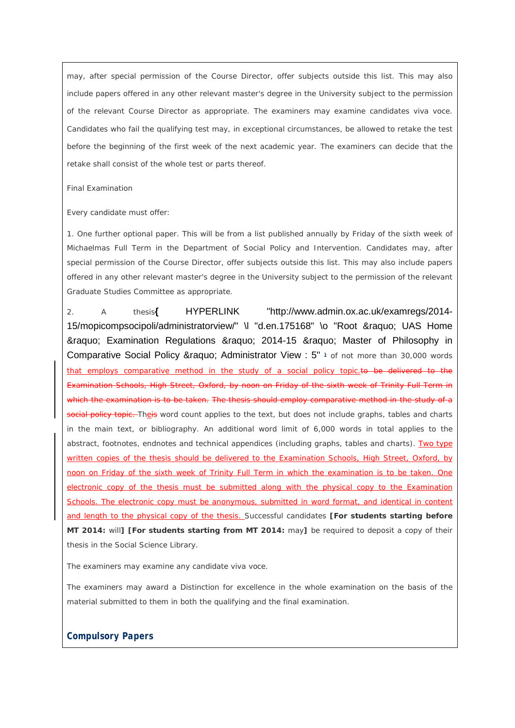may, after special permission of the Course Director, offer subjects outside this list. This may also include papers offered in any other relevant master's degree in the University subject to the permission of the relevant Course Director as appropriate. The examiners may examine candidates viva voce. Candidates who fail the qualifying test may, in exceptional circumstances, be allowed to retake the test before the beginning of the first week of the next academic year. The examiners can decide that the retake shall consist of the whole test or parts thereof.

#### *Final Examination*

Every candidate must offer:

1. One further optional paper. This will be from a list published annually by Friday of the sixth week of Michaelmas Full Term in the Department of Social Policy and Intervention. Candidates may, after special permission of the Course Director, offer subjects outside this list. This may also include papers offered in any other relevant master's degree in the University subject to the permission of the relevant Graduate Studies Committee as appropriate.

2. A thesis**{** [HYPERLINK "http://www.admin.ox.ac.uk/examregs/2014-](http://www.admin.ox.ac.uk/examregs/2014-15/mopicompsocipoli/administratorview/%23d.en.175168) 15/mopicompsocipoli/administratorview/" \l "d.en.175168" \o "Root » UAS Home » Examination Regulations » 2014-15 » Master of Philosophy in [Comparative Social Policy » Administrator View : 5"](http://www.admin.ox.ac.uk/examregs/2014-15/mopicompsocipoli/administratorview/%23d.en.175168) <sup>2</sup> of not more than 30,000 words that employs comparative method in the study of a social policy topic.to be delivered to the Examination Schools, High Street, Oxford, by noon on Friday of the sixth week of Trinity Full Term in examination is to be taken. The thesis should employ comparative method in the study of a social policy topic. Theis word count applies to the text, but does not include graphs, tables and charts in the main text, or bibliography. An additional word limit of 6,000 words in total applies to the abstract, footnotes, endnotes and technical appendices (including graphs, tables and charts). Two type written copies of the thesis should be delivered to the Examination Schools, High Street, Oxford, by noon on Friday of the sixth week of Trinity Full Term in which the examination is to be taken. One electronic copy of the thesis must be submitted along with the physical copy to the Examination Schools. The electronic copy must be anonymous, submitted in word format, and identical in content and length to the physical copy of the thesis. Successful candidates **[For students starting before MT 2014:** will**] [For students starting from MT 2014:** may**]** be required to deposit a copy of their thesis in the Social Science Library.

The examiners may examine any candidate viva voce.

The examiners may award a Distinction for excellence in the whole examination on the basis of the material submitted to them in both the qualifying and the final examination.

## *Compulsory Papers*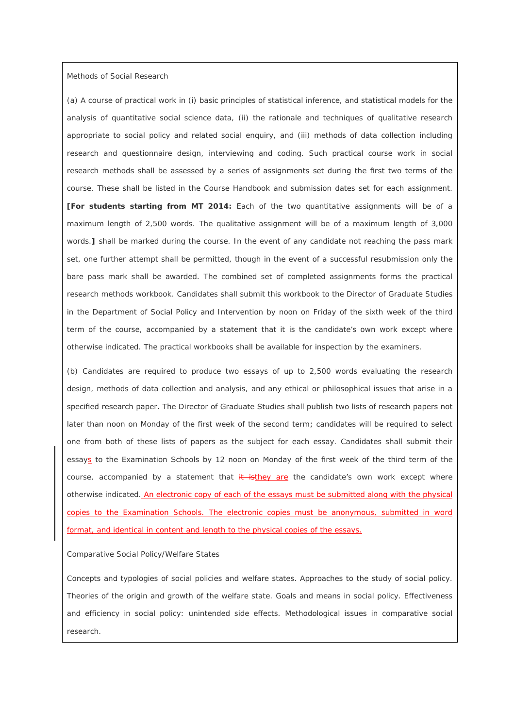#### *Methods of Social Research*

(*a*) A course of practical work in (i) basic principles of statistical inference, and statistical models for the analysis of quantitative social science data, (ii) the rationale and techniques of qualitative research appropriate to social policy and related social enquiry, and (iii) methods of data collection including research and questionnaire design, interviewing and coding. Such practical course work in social research methods shall be assessed by a series of assignments set during the first two terms of the course. These shall be listed in the Course Handbook and submission dates set for each assignment. **[For students starting from MT 2014:** Each of the two quantitative assignments will be of a maximum length of 2,500 words. The qualitative assignment will be of a maximum length of 3,000 words.**]** shall be marked during the course. In the event of any candidate not reaching the pass mark set, one further attempt shall be permitted, though in the event of a successful resubmission only the bare pass mark shall be awarded. The combined set of completed assignments forms the practical research methods workbook. Candidates shall submit this workbook to the Director of Graduate Studies in the Department of Social Policy and Intervention by noon on Friday of the sixth week of the third term of the course, accompanied by a statement that it is the candidate's own work except where otherwise indicated. The practical workbooks shall be available for inspection by the examiners.

(*b*) Candidates are required to produce two essays of up to 2,500 words evaluating the research design, methods of data collection and analysis, and any ethical or philosophical issues that arise in a specified research paper. The Director of Graduate Studies shall publish two lists of research papers not later than noon on Monday of the first week of the second term; candidates will be required to select one from both of these lists of papers as the subject for each essay. Candidates shall submit their essays to the Examination Schools by 12 noon on Monday of the first week of the third term of the course, accompanied by a statement that  $i$  is  $i$  is  $i$  are the candidate's own work except where otherwise indicated. An electronic copy of each of the essays must be submitted along with the physical copies to the Examination Schools. The electronic copies must be anonymous, submitted in word format, and identical in content and length to the physical copies of the essays.

### *Comparative Social Policy/Welfare States*

Concepts and typologies of social policies and welfare states. Approaches to the study of social policy. Theories of the origin and growth of the welfare state. Goals and means in social policy. Effectiveness and efficiency in social policy: unintended side effects. Methodological issues in comparative social research.